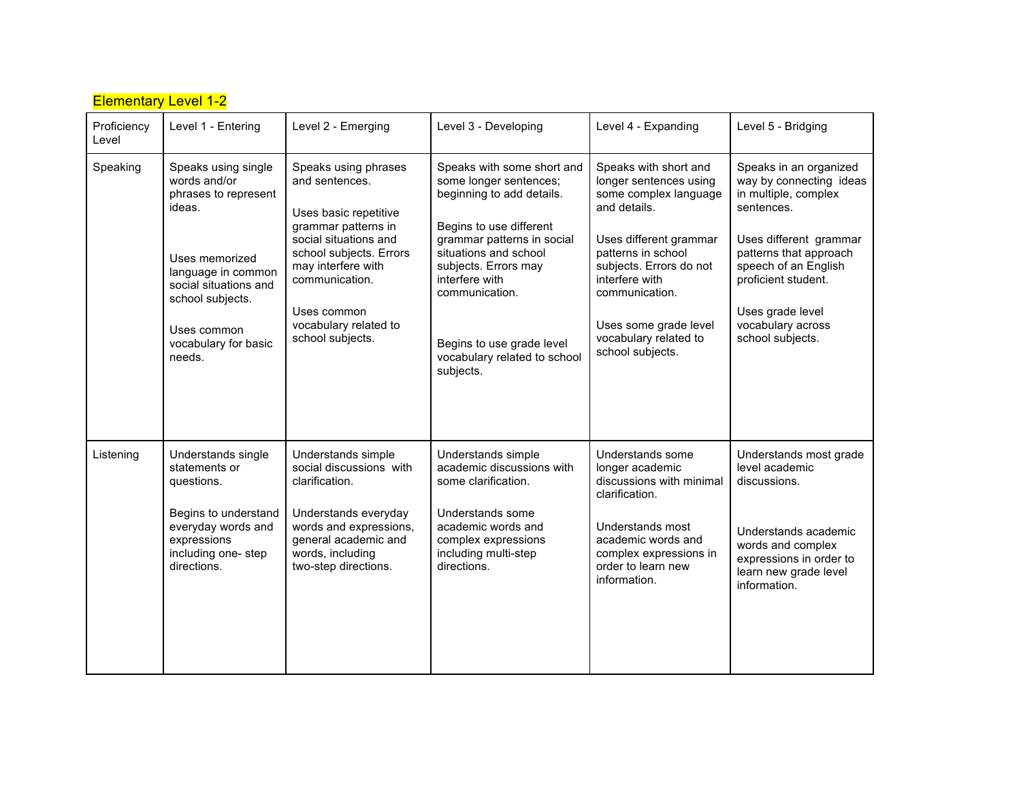| <b>Elementary Level 1-2</b> |                                                                                                                                                                                                             |                                                                                                                                                                                                                                                |                                                                                                                                                                                                                                                                                                           |                                                                                                                                                                                                                                                                               |                                                                                                                                                                                                                                                         |  |  |  |  |
|-----------------------------|-------------------------------------------------------------------------------------------------------------------------------------------------------------------------------------------------------------|------------------------------------------------------------------------------------------------------------------------------------------------------------------------------------------------------------------------------------------------|-----------------------------------------------------------------------------------------------------------------------------------------------------------------------------------------------------------------------------------------------------------------------------------------------------------|-------------------------------------------------------------------------------------------------------------------------------------------------------------------------------------------------------------------------------------------------------------------------------|---------------------------------------------------------------------------------------------------------------------------------------------------------------------------------------------------------------------------------------------------------|--|--|--|--|
| Proficiency<br>Level        | Level 1 - Entering                                                                                                                                                                                          | Level 2 - Emerging                                                                                                                                                                                                                             | Level 3 - Developing                                                                                                                                                                                                                                                                                      | Level 4 - Expanding                                                                                                                                                                                                                                                           | Level 5 - Bridging                                                                                                                                                                                                                                      |  |  |  |  |
| Speaking                    | Speaks using single<br>words and/or<br>phrases to represent<br>ideas.<br>Uses memorized<br>language in common<br>social situations and<br>school subjects.<br>Uses common<br>vocabulary for basic<br>needs. | Speaks using phrases<br>and sentences.<br>Uses basic repetitive<br>grammar patterns in<br>social situations and<br>school subjects. Errors<br>may interfere with<br>communication.<br>Uses common<br>vocabulary related to<br>school subjects. | Speaks with some short and<br>some longer sentences;<br>beginning to add details.<br>Begins to use different<br>grammar patterns in social<br>situations and school<br>subjects. Errors may<br>interfere with<br>communication.<br>Begins to use grade level<br>vocabulary related to school<br>subjects. | Speaks with short and<br>longer sentences using<br>some complex language<br>and details.<br>Uses different grammar<br>patterns in school<br>subjects. Errors do not<br>interfere with<br>communication.<br>Uses some grade level<br>vocabulary related to<br>school subjects. | Speaks in an organized<br>way by connecting ideas<br>in multiple, complex<br>sentences.<br>Uses different grammar<br>patterns that approach<br>speech of an English<br>proficient student.<br>Uses grade level<br>vocabulary across<br>school subjects. |  |  |  |  |
| Listening                   | Understands single<br>statements or<br>questions.<br>Begins to understand<br>everyday words and<br>expressions<br>including one-step<br>directions.                                                         | Understands simple<br>social discussions with<br>clarification.<br>Understands everyday<br>words and expressions,<br>general academic and<br>words, including<br>two-step directions.                                                          | Understands simple<br>academic discussions with<br>some clarification.<br>Understands some<br>academic words and<br>complex expressions<br>including multi-step<br>directions.                                                                                                                            | Understands some<br>longer academic<br>discussions with minimal<br>clarification.<br>Understands most<br>academic words and<br>complex expressions in<br>order to learn new<br>information.                                                                                   | Understands most grade<br>level academic<br>discussions.<br>Understands academic<br>words and complex<br>expressions in order to<br>learn new grade level<br>information.                                                                               |  |  |  |  |